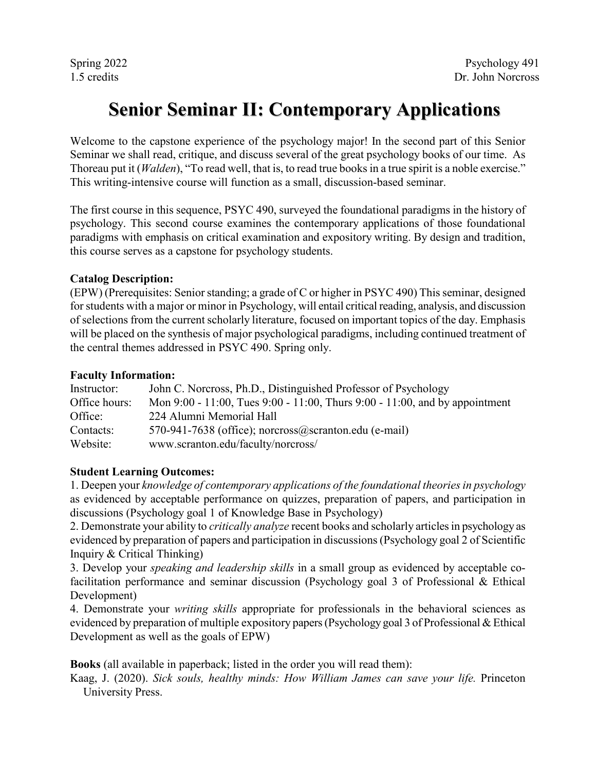# **Senior Seminar II: Contemporary Applications**

Welcome to the capstone experience of the psychology major! In the second part of this Senior Seminar we shall read, critique, and discuss several of the great psychology books of our time. As Thoreau put it (*Walden*), "To read well, that is, to read true books in a true spirit is a noble exercise." This writing-intensive course will function as a small, discussion-based seminar.

The first course in this sequence, PSYC 490, surveyed the foundational paradigms in the history of psychology. This second course examines the contemporary applications of those foundational paradigms with emphasis on critical examination and expository writing. By design and tradition, this course serves as a capstone for psychology students.

#### **Catalog Description:**

(EPW) (Prerequisites: Senior standing; a grade of C or higher in PSYC 490) This seminar, designed for students with a major or minor in Psychology, will entail critical reading, analysis, and discussion of selections from the current scholarly literature, focused on important topics of the day. Emphasis will be placed on the synthesis of major psychological paradigms, including continued treatment of the central themes addressed in PSYC 490. Spring only.

#### **Faculty Information:**

| Instructor:   | John C. Norcross, Ph.D., Distinguished Professor of Psychology                       |
|---------------|--------------------------------------------------------------------------------------|
| Office hours: | Mon $9:00 - 11:00$ , Tues $9:00 - 11:00$ , Thurs $9:00 - 11:00$ , and by appointment |
| Office:       | 224 Alumni Memorial Hall                                                             |
| Contacts:     | 570-941-7638 (office); norcross $@$ scranton.edu (e-mail)                            |
| Website:      | www.scranton.edu/faculty/norcross/                                                   |

### **Student Learning Outcomes:**

1. Deepen your *knowledge of contemporary applications of the foundational theories in psychology*  as evidenced by acceptable performance on quizzes, preparation of papers, and participation in discussions (Psychology goal 1 of Knowledge Base in Psychology)

2. Demonstrate your ability to *critically analyze* recent books and scholarly articles in psychology as evidenced by preparation of papers and participation in discussions (Psychology goal 2 of Scientific Inquiry & Critical Thinking)

3. Develop your *speaking and leadership skills* in a small group as evidenced by acceptable cofacilitation performance and seminar discussion (Psychology goal 3 of Professional & Ethical Development)

4. Demonstrate your *writing skills* appropriate for professionals in the behavioral sciences as evidenced by preparation of multiple expository papers(Psychology goal 3 of Professional & Ethical Development as well as the goals of EPW)

**Books** (all available in paperback; listed in the order you will read them):

Kaag, J. (2020). *Sick souls, healthy minds: How William James can save your life.* Princeton University Press.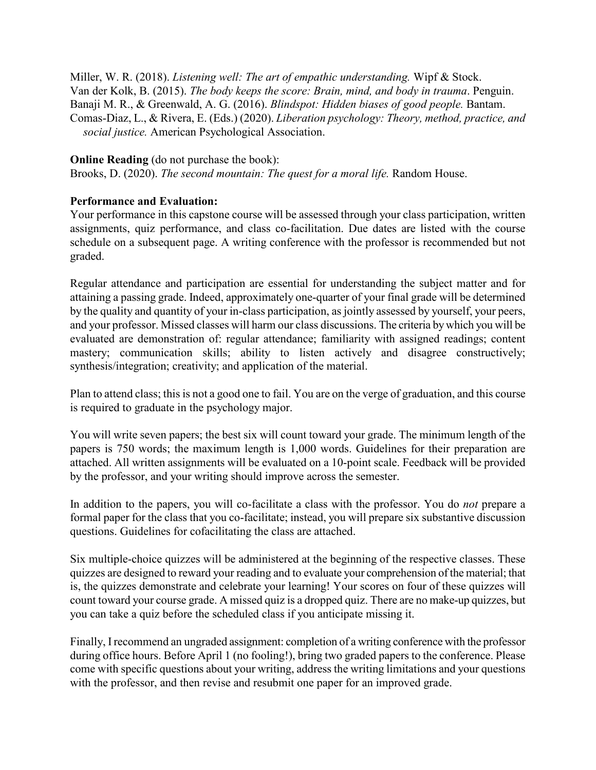Miller, W. R. (2018). *Listening well: The art of empathic understanding.* Wipf & Stock. Van der Kolk, B. (2015). *The body keeps the score: Brain, mind, and body in trauma*. Penguin. Banaji M. R., & Greenwald, A. G. (2016). *Blindspot: Hidden biases of good people.* Bantam. Comas-Diaz, L., & Rivera, E. (Eds.) (2020). *Liberation psychology: Theory, method, practice, and social justice.* American Psychological Association.

#### **Online Reading** (do not purchase the book):

Brooks, D. (2020). *The second mountain: The quest for a moral life.* Random House.

### **Performance and Evaluation:**

Your performance in this capstone course will be assessed through your class participation, written assignments, quiz performance, and class co-facilitation. Due dates are listed with the course schedule on a subsequent page. A writing conference with the professor is recommended but not graded.

Regular attendance and participation are essential for understanding the subject matter and for attaining a passing grade. Indeed, approximately one-quarter of your final grade will be determined by the quality and quantity of your in-class participation, as jointly assessed by yourself, your peers, and your professor. Missed classes will harm our class discussions. The criteria by which you will be evaluated are demonstration of: regular attendance; familiarity with assigned readings; content mastery; communication skills; ability to listen actively and disagree constructively; synthesis/integration; creativity; and application of the material.

Plan to attend class; this is not a good one to fail. You are on the verge of graduation, and this course is required to graduate in the psychology major.

You will write seven papers; the best six will count toward your grade. The minimum length of the papers is 750 words; the maximum length is 1,000 words. Guidelines for their preparation are attached. All written assignments will be evaluated on a 10-point scale. Feedback will be provided by the professor, and your writing should improve across the semester.

In addition to the papers, you will co-facilitate a class with the professor. You do *not* prepare a formal paper for the class that you co-facilitate; instead, you will prepare six substantive discussion questions. Guidelines for cofacilitating the class are attached.

Six multiple-choice quizzes will be administered at the beginning of the respective classes. These quizzes are designed to reward your reading and to evaluate your comprehension of the material; that is, the quizzes demonstrate and celebrate your learning! Your scores on four of these quizzes will count toward your course grade. A missed quiz is a dropped quiz. There are no make-up quizzes, but you can take a quiz before the scheduled class if you anticipate missing it.

Finally, I recommend an ungraded assignment: completion of a writing conference with the professor during office hours. Before April 1 (no fooling!), bring two graded papers to the conference. Please come with specific questions about your writing, address the writing limitations and your questions with the professor, and then revise and resubmit one paper for an improved grade.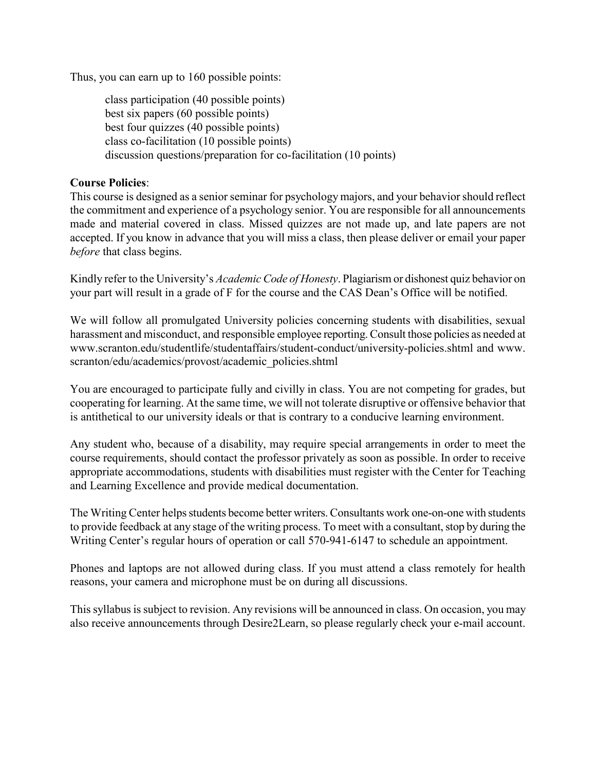Thus, you can earn up to 160 possible points:

class participation (40 possible points) best six papers (60 possible points) best four quizzes (40 possible points) class co-facilitation (10 possible points) discussion questions/preparation for co-facilitation (10 points)

### **Course Policies**:

This course is designed as a senior seminar for psychology majors, and your behavior should reflect the commitment and experience of a psychology senior. You are responsible for all announcements made and material covered in class. Missed quizzes are not made up, and late papers are not accepted. If you know in advance that you will miss a class, then please deliver or email your paper *before* that class begins.

Kindly refer to the University's *Academic Code of Honesty*. Plagiarism or dishonest quiz behavior on your part will result in a grade of F for the course and the CAS Dean's Office will be notified.

We will follow all promulgated University policies concerning students with disabilities, sexual harassment and misconduct, and responsible employee reporting. Consult those policies as needed at www.scranton.edu/studentlife/studentaffairs/student-conduct/university-policies.shtml and www. scranton/edu/academics/provost/academic\_policies.shtml

You are encouraged to participate fully and civilly in class. You are not competing for grades, but cooperating for learning. At the same time, we will not tolerate disruptive or offensive behavior that is antithetical to our university ideals or that is contrary to a conducive learning environment.

Any student who, because of a disability, may require special arrangements in order to meet the course requirements, should contact the professor privately as soon as possible. In order to receive appropriate accommodations, students with disabilities must register with the Center for Teaching and Learning Excellence and provide medical documentation.

The Writing Center helps students become better writers. Consultants work one-on-one with students to provide feedback at any stage of the writing process. To meet with a consultant, stop by during the Writing Center's regular hours of operation or call 570-941-6147 to schedule an appointment.

Phones and laptops are not allowed during class. If you must attend a class remotely for health reasons, your camera and microphone must be on during all discussions.

Thissyllabus is subject to revision. Any revisions will be announced in class. On occasion, you may also receive announcements through Desire2Learn, so please regularly check your e-mail account.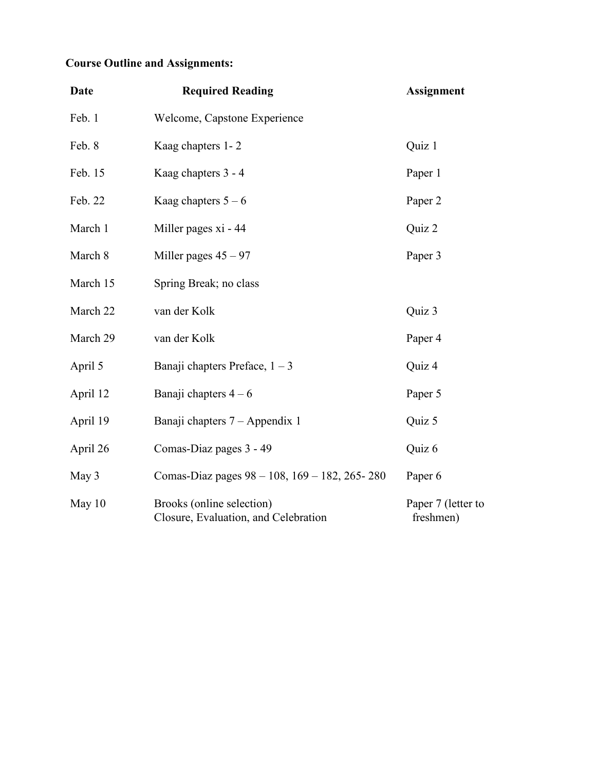## **Course Outline and Assignments:**

| <b>Date</b> | <b>Required Reading</b>                                           | <b>Assignment</b>               |
|-------------|-------------------------------------------------------------------|---------------------------------|
| Feb. 1      | Welcome, Capstone Experience                                      |                                 |
| Feb. 8      | Kaag chapters 1-2                                                 | Quiz 1                          |
| Feb. 15     | Kaag chapters 3 - 4                                               | Paper 1                         |
| Feb. 22     | Kaag chapters $5 - 6$                                             | Paper 2                         |
| March 1     | Miller pages xi - 44                                              | Quiz 2                          |
| March 8     | Miller pages $45 - 97$                                            | Paper 3                         |
| March 15    | Spring Break; no class                                            |                                 |
| March 22    | van der Kolk                                                      | Quiz 3                          |
| March 29    | van der Kolk                                                      | Paper 4                         |
| April 5     | Banaji chapters Preface, $1 - 3$                                  | Quiz 4                          |
| April 12    | Banaji chapters $4-6$                                             | Paper 5                         |
| April 19    | Banaji chapters 7 – Appendix 1                                    | Quiz 5                          |
| April 26    | Comas-Diaz pages 3 - 49                                           | Quiz 6                          |
| May 3       | Comas-Diaz pages $98 - 108$ , $169 - 182$ , 265-280               | Paper 6                         |
| May $10$    | Brooks (online selection)<br>Closure, Evaluation, and Celebration | Paper 7 (letter to<br>freshmen) |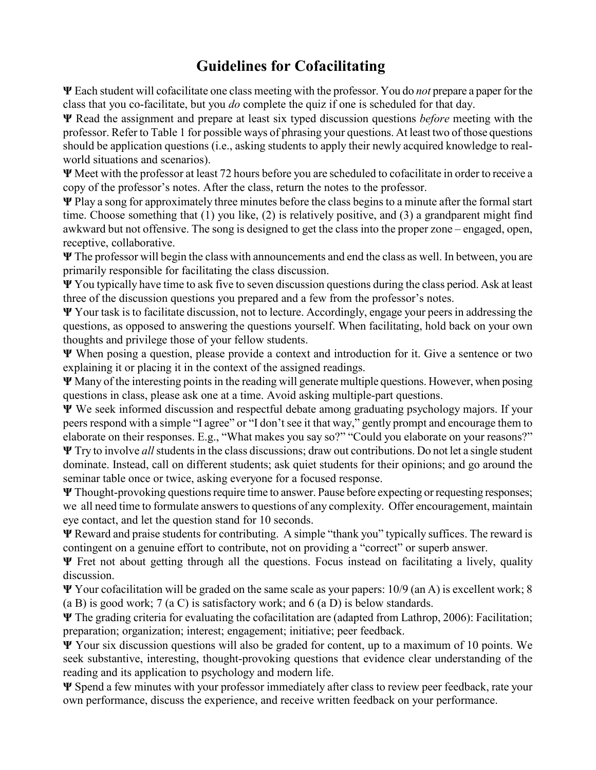# **Guidelines for Cofacilitating**

**Ψ** Each student will cofacilitate one class meeting with the professor. You do *not* prepare a paper for the class that you co-facilitate, but you *do* complete the quiz if one is scheduled for that day.

**Ψ** Read the assignment and prepare at least six typed discussion questions *before* meeting with the professor. Refer to Table 1 for possible ways of phrasing your questions. At least two of those questions should be application questions (i.e., asking students to apply their newly acquired knowledge to realworld situations and scenarios).

**Ψ** Meet with the professor at least 72 hours before you are scheduled to cofacilitate in order to receive a copy of the professor's notes. After the class, return the notes to the professor.

**Ψ** Play a song for approximately three minutes before the class begins to a minute after the formal start time. Choose something that (1) you like, (2) is relatively positive, and (3) a grandparent might find awkward but not offensive. The song is designed to get the class into the proper zone – engaged, open, receptive, collaborative.

**Ψ** The professor will begin the class with announcements and end the class as well. In between, you are primarily responsible for facilitating the class discussion.

**Ψ** You typically have time to ask five to seven discussion questions during the class period. Ask at least three of the discussion questions you prepared and a few from the professor's notes.

**Ψ** Your task is to facilitate discussion, not to lecture. Accordingly, engage your peers in addressing the questions, as opposed to answering the questions yourself. When facilitating, hold back on your own thoughts and privilege those of your fellow students.

**Ψ** When posing a question, please provide a context and introduction for it. Give a sentence or two explaining it or placing it in the context of the assigned readings.

**Ψ** Many of the interesting points in the reading will generate multiple questions. However, when posing questions in class, please ask one at a time. Avoid asking multiple-part questions.

**Ψ** We seek informed discussion and respectful debate among graduating psychology majors. If your peers respond with a simple "I agree" or "I don't see it that way," gently prompt and encourage them to elaborate on their responses. E.g., "What makes you say so?" "Could you elaborate on your reasons?"

**Ψ** Try to involve *all*students in the class discussions; draw out contributions. Do not let a single student dominate. Instead, call on different students; ask quiet students for their opinions; and go around the seminar table once or twice, asking everyone for a focused response.

**Ψ** Thought-provoking questions require time to answer. Pause before expecting or requesting responses; we all need time to formulate answers to questions of any complexity. Offer encouragement, maintain eye contact, and let the question stand for 10 seconds.

**Ψ** Reward and praise students for contributing. A simple "thank you" typically suffices. The reward is contingent on a genuine effort to contribute, not on providing a "correct" or superb answer.

**Ψ** Fret not about getting through all the questions. Focus instead on facilitating a lively, quality discussion.

**Ψ** Your cofacilitation will be graded on the same scale as your papers: 10/9 (an A) is excellent work; 8 (a B) is good work; 7 (a C) is satisfactory work; and 6 (a D) is below standards.

**Ψ** The grading criteria for evaluating the cofacilitation are (adapted from Lathrop, 2006): Facilitation; preparation; organization; interest; engagement; initiative; peer feedback.

**Ψ** Your six discussion questions will also be graded for content, up to a maximum of 10 points. We seek substantive, interesting, thought-provoking questions that evidence clear understanding of the reading and its application to psychology and modern life.

**Ψ** Spend a few minutes with your professor immediately after class to review peer feedback, rate your own performance, discuss the experience, and receive written feedback on your performance.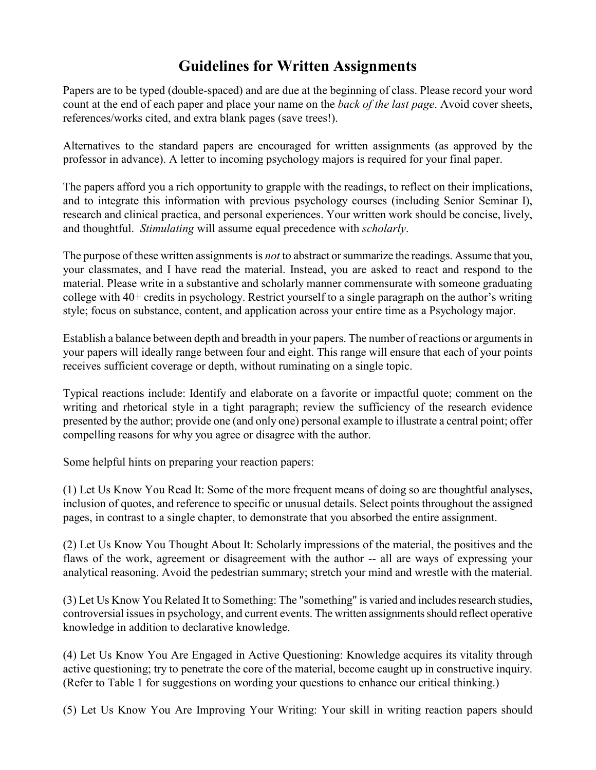# **Guidelines for Written Assignments**

Papers are to be typed (double-spaced) and are due at the beginning of class. Please record your word count at the end of each paper and place your name on the *back of the last page*. Avoid cover sheets, references/works cited, and extra blank pages (save trees!).

Alternatives to the standard papers are encouraged for written assignments (as approved by the professor in advance). A letter to incoming psychology majors is required for your final paper.

The papers afford you a rich opportunity to grapple with the readings, to reflect on their implications, and to integrate this information with previous psychology courses (including Senior Seminar I), research and clinical practica, and personal experiences. Your written work should be concise, lively, and thoughtful. *Stimulating* will assume equal precedence with *scholarly*.

The purpose of these written assignments is *not* to abstract or summarize the readings. Assume that you, your classmates, and I have read the material. Instead, you are asked to react and respond to the material. Please write in a substantive and scholarly manner commensurate with someone graduating college with 40+ credits in psychology. Restrict yourself to a single paragraph on the author's writing style; focus on substance, content, and application across your entire time as a Psychology major.

Establish a balance between depth and breadth in your papers. The number of reactions or arguments in your papers will ideally range between four and eight. This range will ensure that each of your points receives sufficient coverage or depth, without ruminating on a single topic.

Typical reactions include: Identify and elaborate on a favorite or impactful quote; comment on the writing and rhetorical style in a tight paragraph; review the sufficiency of the research evidence presented by the author; provide one (and only one) personal example to illustrate a central point; offer compelling reasons for why you agree or disagree with the author.

Some helpful hints on preparing your reaction papers:

(1) Let Us Know You Read It: Some of the more frequent means of doing so are thoughtful analyses, inclusion of quotes, and reference to specific or unusual details. Select points throughout the assigned pages, in contrast to a single chapter, to demonstrate that you absorbed the entire assignment.

(2) Let Us Know You Thought About It: Scholarly impressions of the material, the positives and the flaws of the work, agreement or disagreement with the author -- all are ways of expressing your analytical reasoning. Avoid the pedestrian summary; stretch your mind and wrestle with the material.

(3) Let Us Know You Related It to Something: The "something" is varied and includesresearch studies, controversial issues in psychology, and current events. The written assignments should reflect operative knowledge in addition to declarative knowledge.

(4) Let Us Know You Are Engaged in Active Questioning: Knowledge acquires its vitality through active questioning; try to penetrate the core of the material, become caught up in constructive inquiry. (Refer to Table 1 for suggestions on wording your questions to enhance our critical thinking.)

(5) Let Us Know You Are Improving Your Writing: Your skill in writing reaction papers should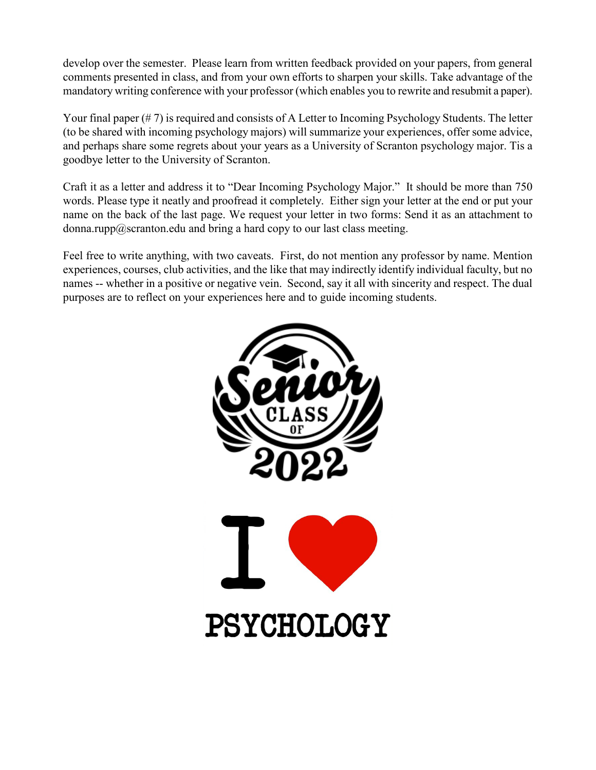develop over the semester. Please learn from written feedback provided on your papers, from general comments presented in class, and from your own efforts to sharpen your skills. Take advantage of the mandatory writing conference with your professor (which enables you to rewrite and resubmit a paper).

Your final paper (# 7) is required and consists of A Letter to Incoming Psychology Students. The letter (to be shared with incoming psychology majors) will summarize your experiences, offer some advice, and perhaps share some regrets about your years as a University of Scranton psychology major. Tis a goodbye letter to the University of Scranton.

Craft it as a letter and address it to "Dear Incoming Psychology Major." It should be more than 750 words. Please type it neatly and proofread it completely. Either sign your letter at the end or put your name on the back of the last page. We request your letter in two forms: Send it as an attachment to donna.rupp@scranton.edu and bring a hard copy to our last class meeting.

Feel free to write anything, with two caveats. First, do not mention any professor by name. Mention experiences, courses, club activities, and the like that may indirectly identify individual faculty, but no names -- whether in a positive or negative vein. Second, say it all with sincerity and respect. The dual purposes are to reflect on your experiences here and to guide incoming students.